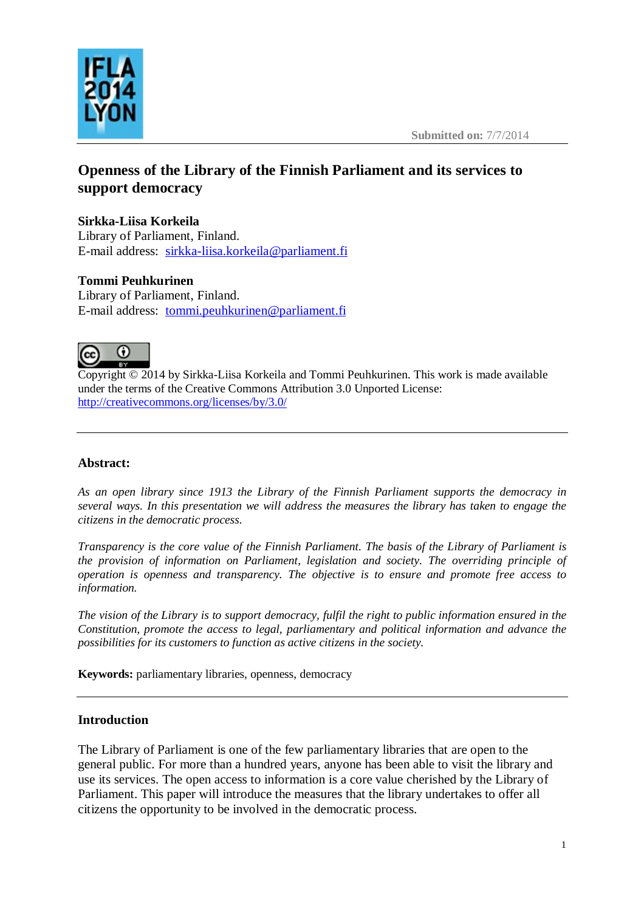



# **Openness of the Library of the Finnish Parliament and its services to support democracy**

# **Sirkka-Liisa Korkeila**

Library of Parliament, Finland. E-mail address: [sirkka-liisa.korkeila@parliament.fi](mailto:sirkka-liisa.korkeila@parliament.fi)

# **Tommi Peuhkurinen**

Library of Parliament, Finland. E-mail address: [tommi.peuhkurinen@parliament.fi](mailto:tommi.peuhkurinen@parliament.fi)



Copyright © 2014 by Sirkka-Liisa Korkeila and Tommi Peuhkurinen. This work is made available under the terms of the Creative Commons Attribution 3.0 Unported License: <http://creativecommons.org/licenses/by/3.0/>

# **Abstract:**

*As an open library since 1913 the Library of the Finnish Parliament supports the democracy in several ways. In this presentation we will address the measures the library has taken to engage the citizens in the democratic process.*

*Transparency is the core value of the Finnish Parliament. The basis of the Library of Parliament is the provision of information on Parliament, legislation and society. The overriding principle of operation is openness and transparency. The objective is to ensure and promote free access to information.* 

*The vision of the Library is to support democracy, fulfil the right to public information ensured in the Constitution, promote the access to legal, parliamentary and political information and advance the possibilities for its customers to function as active citizens in the society.*

**Keywords:** parliamentary libraries, openness, democracy

## **Introduction**

The Library of Parliament is one of the few parliamentary libraries that are open to the general public. For more than a hundred years, anyone has been able to visit the library and use its services. The open access to information is a core value cherished by the Library of Parliament. This paper will introduce the measures that the library undertakes to offer all citizens the opportunity to be involved in the democratic process.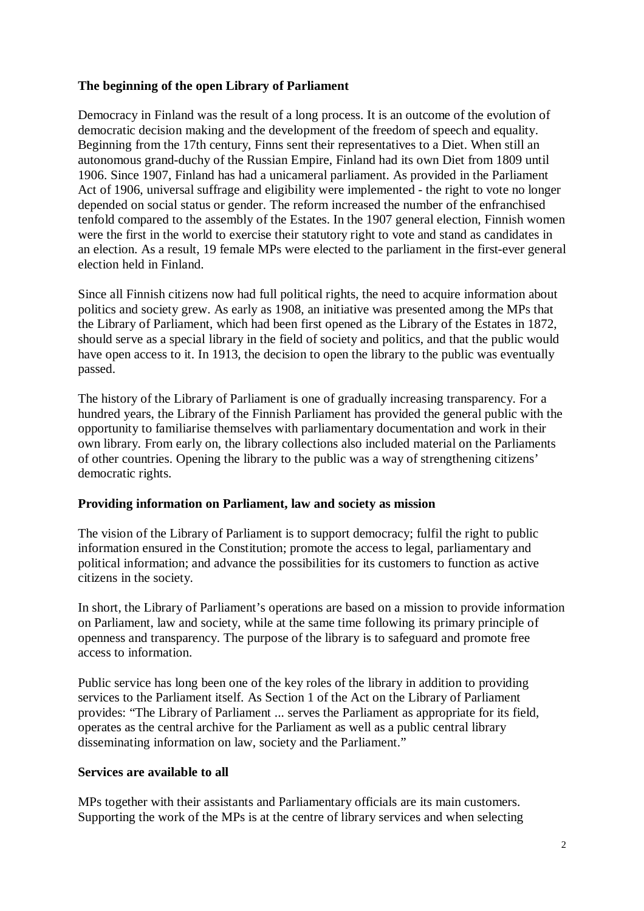### **The beginning of the open Library of Parliament**

Democracy in Finland was the result of a long process. It is an outcome of the evolution of democratic decision making and the development of the freedom of speech and equality. Beginning from the 17th century, Finns sent their representatives to a Diet. When still an autonomous grand-duchy of the Russian Empire, Finland had its own Diet from 1809 until 1906. Since 1907, Finland has had a unicameral parliament. As provided in the Parliament Act of 1906, universal suffrage and eligibility were implemented - the right to vote no longer depended on social status or gender. The reform increased the number of the enfranchised tenfold compared to the assembly of the Estates. In the 1907 general election, Finnish women were the first in the world to exercise their statutory right to vote and stand as candidates in an election. As a result, 19 female MPs were elected to the parliament in the first-ever general election held in Finland.

Since all Finnish citizens now had full political rights, the need to acquire information about politics and society grew. As early as 1908, an initiative was presented among the MPs that the Library of Parliament, which had been first opened as the Library of the Estates in 1872, should serve as a special library in the field of society and politics, and that the public would have open access to it. In 1913, the decision to open the library to the public was eventually passed.

The history of the Library of Parliament is one of gradually increasing transparency. For a hundred years, the Library of the Finnish Parliament has provided the general public with the opportunity to familiarise themselves with parliamentary documentation and work in their own library. From early on, the library collections also included material on the Parliaments of other countries. Opening the library to the public was a way of strengthening citizens' democratic rights.

#### **Providing information on Parliament, law and society as mission**

The vision of the Library of Parliament is to support democracy; fulfil the right to public information ensured in the Constitution; promote the access to legal, parliamentary and political information; and advance the possibilities for its customers to function as active citizens in the society.

In short, the Library of Parliament's operations are based on a mission to provide information on Parliament, law and society, while at the same time following its primary principle of openness and transparency. The purpose of the library is to safeguard and promote free access to information.

Public service has long been one of the key roles of the library in addition to providing services to the Parliament itself. As Section 1 of the Act on the Library of Parliament provides: "The Library of Parliament ... serves the Parliament as appropriate for its field, operates as the central archive for the Parliament as well as a public central library disseminating information on law, society and the Parliament."

#### **Services are available to all**

MPs together with their assistants and Parliamentary officials are its main customers. Supporting the work of the MPs is at the centre of library services and when selecting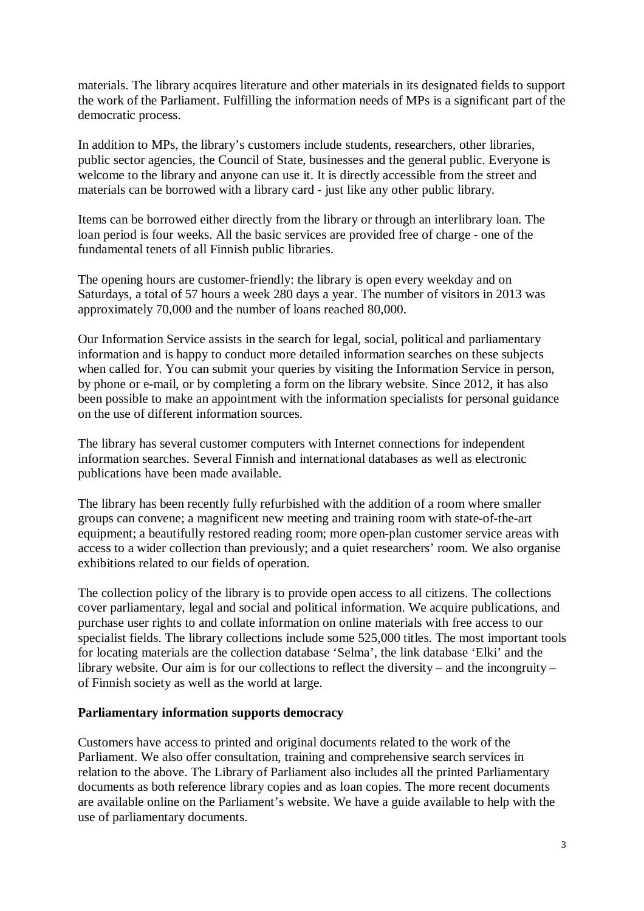materials. The library acquires literature and other materials in its designated fields to support the work of the Parliament. Fulfilling the information needs of MPs is a significant part of the democratic process.

In addition to MPs, the library's customers include students, researchers, other libraries, public sector agencies, the Council of State, businesses and the general public. Everyone is welcome to the library and anyone can use it. It is directly accessible from the street and materials can be borrowed with a library card - just like any other public library.

Items can be borrowed either directly from the library or through an interlibrary loan. The loan period is four weeks. All the basic services are provided free of charge - one of the fundamental tenets of all Finnish public libraries.

The opening hours are customer-friendly: the library is open every weekday and on Saturdays, a total of 57 hours a week 280 days a year. The number of visitors in 2013 was approximately 70,000 and the number of loans reached 80,000.

Our Information Service assists in the search for legal, social, political and parliamentary information and is happy to conduct more detailed information searches on these subjects when called for. You can submit your queries by visiting the Information Service in person, by phone or e-mail, or by completing a form on the library website. Since 2012, it has also been possible to make an appointment with the information specialists for personal guidance on the use of different information sources.

The library has several customer computers with Internet connections for independent information searches. Several Finnish and international databases as well as electronic publications have been made available.

The library has been recently fully refurbished with the addition of a room where smaller groups can convene; a magnificent new meeting and training room with state-of-the-art equipment; a beautifully restored reading room; more open-plan customer service areas with access to a wider collection than previously; and a quiet researchers' room. We also organise exhibitions related to our fields of operation.

The collection policy of the library is to provide open access to all citizens. The collections cover parliamentary, legal and social and political information. We acquire publications, and purchase user rights to and collate information on online materials with free access to our specialist fields. The library collections include some 525,000 titles. The most important tools for locating materials are the collection database 'Selma', the link database 'Elki' and the library website. Our aim is for our collections to reflect the diversity – and the incongruity – of Finnish society as well as the world at large.

#### **Parliamentary information supports democracy**

Customers have access to printed and original documents related to the work of the Parliament. We also offer consultation, training and comprehensive search services in relation to the above. The Library of Parliament also includes all the printed Parliamentary documents as both reference library copies and as loan copies. The more recent documents are available online on the Parliament's website. We have a guide available to help with the use of parliamentary documents.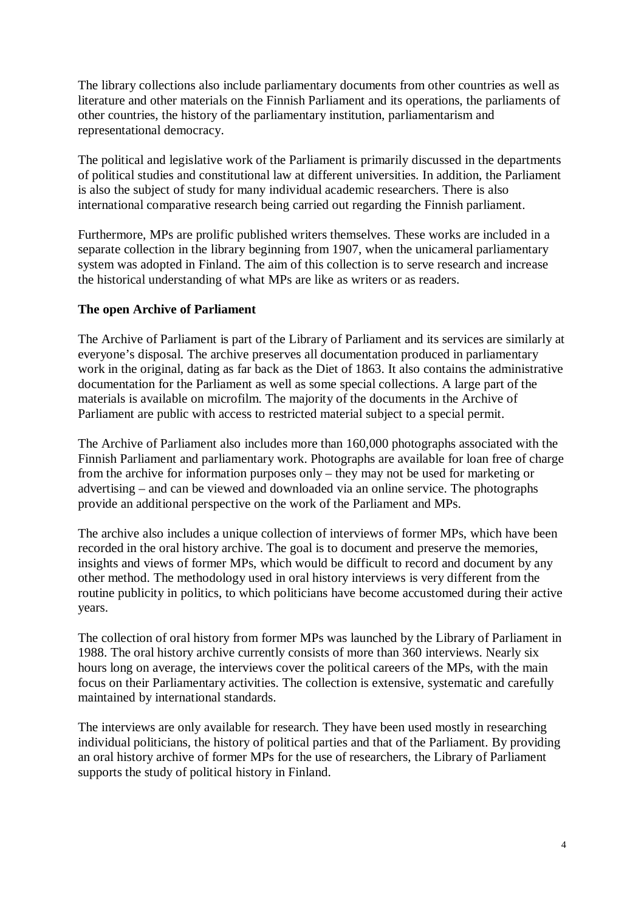The library collections also include parliamentary documents from other countries as well as literature and other materials on the Finnish Parliament and its operations, the parliaments of other countries, the history of the parliamentary institution, parliamentarism and representational democracy.

The political and legislative work of the Parliament is primarily discussed in the departments of political studies and constitutional law at different universities. In addition, the Parliament is also the subject of study for many individual academic researchers. There is also international comparative research being carried out regarding the Finnish parliament.

Furthermore, MPs are prolific published writers themselves. These works are included in a separate collection in the library beginning from 1907, when the unicameral parliamentary system was adopted in Finland. The aim of this collection is to serve research and increase the historical understanding of what MPs are like as writers or as readers.

## **The open Archive of Parliament**

The Archive of Parliament is part of the Library of Parliament and its services are similarly at everyone's disposal. The archive preserves all documentation produced in parliamentary work in the original, dating as far back as the Diet of 1863. It also contains the administrative documentation for the Parliament as well as some special collections. A large part of the materials is available on microfilm. The majority of the documents in the Archive of Parliament are public with access to restricted material subject to a special permit.

The Archive of Parliament also includes more than 160,000 photographs associated with the Finnish Parliament and parliamentary work. Photographs are available for loan free of charge from the archive for information purposes only – they may not be used for marketing or advertising – and can be viewed and downloaded via an online service. The photographs provide an additional perspective on the work of the Parliament and MPs.

The archive also includes a unique collection of interviews of former MPs, which have been recorded in the oral history archive. The goal is to document and preserve the memories, insights and views of former MPs, which would be difficult to record and document by any other method. The methodology used in oral history interviews is very different from the routine publicity in politics, to which politicians have become accustomed during their active years.

The collection of oral history from former MPs was launched by the Library of Parliament in 1988. The oral history archive currently consists of more than 360 interviews. Nearly six hours long on average, the interviews cover the political careers of the MPs, with the main focus on their Parliamentary activities. The collection is extensive, systematic and carefully maintained by international standards.

The interviews are only available for research. They have been used mostly in researching individual politicians, the history of political parties and that of the Parliament. By providing an oral history archive of former MPs for the use of researchers, the Library of Parliament supports the study of political history in Finland.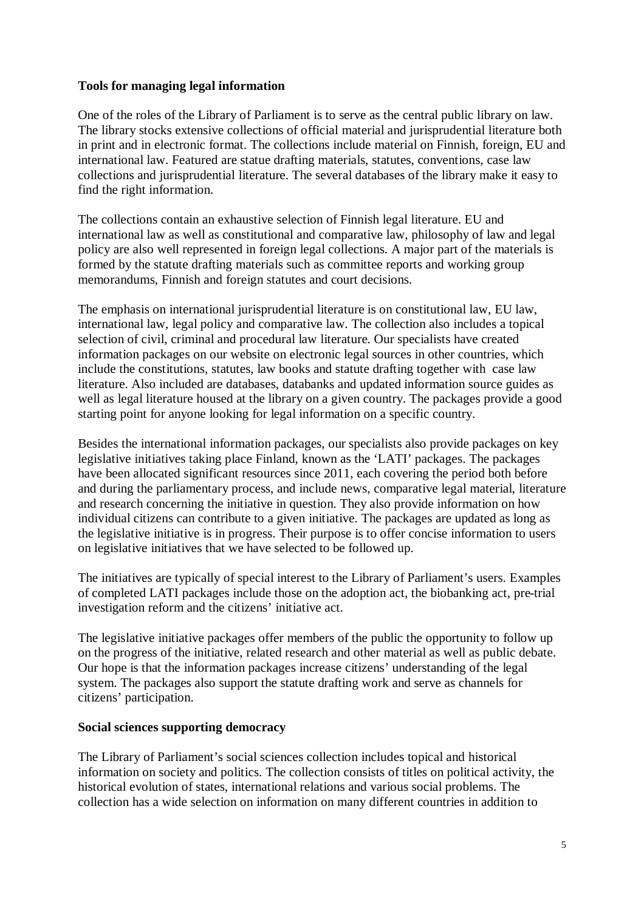### **Tools for managing legal information**

One of the roles of the Library of Parliament is to serve as the central public library on law. The library stocks extensive collections of official material and jurisprudential literature both in print and in electronic format. The collections include material on Finnish, foreign, EU and international law. Featured are statue drafting materials, statutes, conventions, case law collections and jurisprudential literature. The several databases of the library make it easy to find the right information.

The collections contain an exhaustive selection of Finnish legal literature. EU and international law as well as constitutional and comparative law, philosophy of law and legal policy are also well represented in foreign legal collections. A major part of the materials is formed by the statute drafting materials such as committee reports and working group memorandums, Finnish and foreign statutes and court decisions.

The emphasis on international jurisprudential literature is on constitutional law, EU law, international law, legal policy and comparative law. The collection also includes a topical selection of civil, criminal and procedural law literature. Our specialists have created information packages on our website on electronic legal sources in other countries, which include the constitutions, statutes, law books and statute drafting together with case law literature. Also included are databases, databanks and updated information source guides as well as legal literature housed at the library on a given country. The packages provide a good starting point for anyone looking for legal information on a specific country.

Besides the international information packages, our specialists also provide packages on key legislative initiatives taking place Finland, known as the 'LATI' packages. The packages have been allocated significant resources since 2011, each covering the period both before and during the parliamentary process, and include news, comparative legal material, literature and research concerning the initiative in question. They also provide information on how individual citizens can contribute to a given initiative. The packages are updated as long as the legislative initiative is in progress. Their purpose is to offer concise information to users on legislative initiatives that we have selected to be followed up.

The initiatives are typically of special interest to the Library of Parliament's users. Examples of completed LATI packages include those on the adoption act, the biobanking act, pre-trial investigation reform and the citizens' initiative act.

The legislative initiative packages offer members of the public the opportunity to follow up on the progress of the initiative, related research and other material as well as public debate. Our hope is that the information packages increase citizens' understanding of the legal system. The packages also support the statute drafting work and serve as channels for citizens' participation.

#### **Social sciences supporting democracy**

The Library of Parliament's social sciences collection includes topical and historical information on society and politics. The collection consists of titles on political activity, the historical evolution of states, international relations and various social problems. The collection has a wide selection on information on many different countries in addition to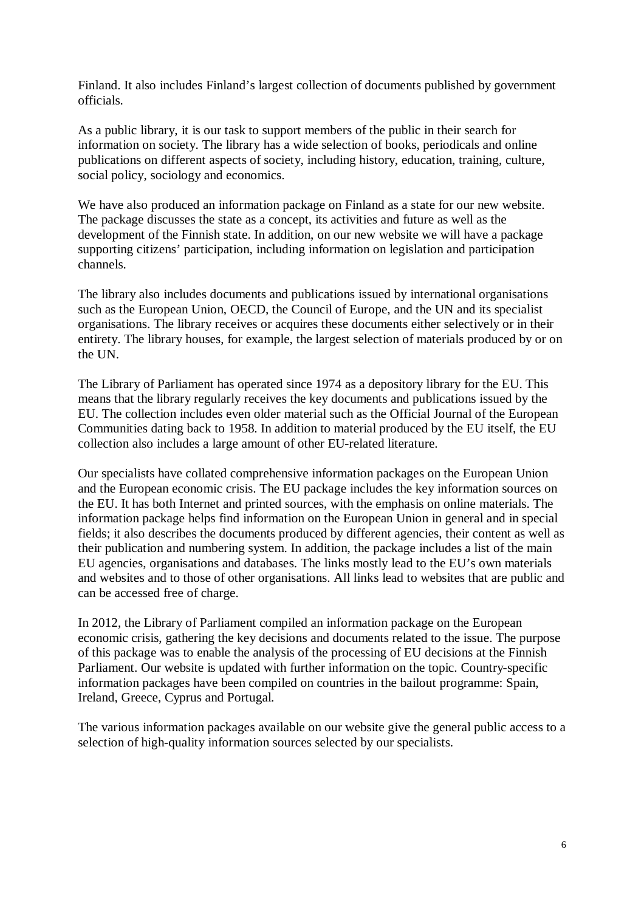Finland. It also includes Finland's largest collection of documents published by government officials.

As a public library, it is our task to support members of the public in their search for information on society. The library has a wide selection of books, periodicals and online publications on different aspects of society, including history, education, training, culture, social policy, sociology and economics.

We have also produced an information package on Finland as a state for our new website. The package discusses the state as a concept, its activities and future as well as the development of the Finnish state. In addition, on our new website we will have a package supporting citizens' participation, including information on legislation and participation channels.

The library also includes documents and publications issued by international organisations such as the European Union, OECD, the Council of Europe, and the UN and its specialist organisations. The library receives or acquires these documents either selectively or in their entirety. The library houses, for example, the largest selection of materials produced by or on the UN.

The Library of Parliament has operated since 1974 as a depository library for the EU. This means that the library regularly receives the key documents and publications issued by the EU. The collection includes even older material such as the Official Journal of the European Communities dating back to 1958. In addition to material produced by the EU itself, the EU collection also includes a large amount of other EU-related literature.

Our specialists have collated comprehensive information packages on the European Union and the European economic crisis. The EU package includes the key information sources on the EU. It has both Internet and printed sources, with the emphasis on online materials. The information package helps find information on the European Union in general and in special fields; it also describes the documents produced by different agencies, their content as well as their publication and numbering system. In addition, the package includes a list of the main EU agencies, organisations and databases. The links mostly lead to the EU's own materials and websites and to those of other organisations. All links lead to websites that are public and can be accessed free of charge.

In 2012, the Library of Parliament compiled an information package on the European economic crisis, gathering the key decisions and documents related to the issue. The purpose of this package was to enable the analysis of the processing of EU decisions at the Finnish Parliament. Our website is updated with further information on the topic. Country-specific information packages have been compiled on countries in the bailout programme: Spain, Ireland, Greece, Cyprus and Portugal.

The various information packages available on our website give the general public access to a selection of high-quality information sources selected by our specialists.